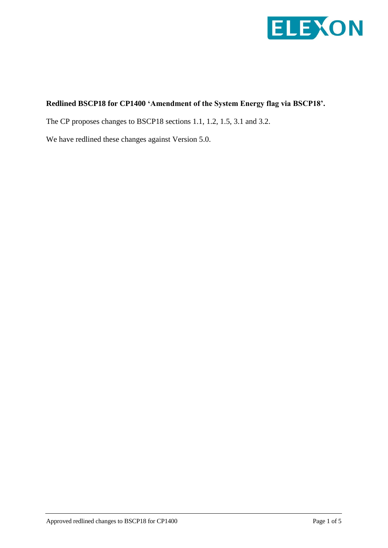

## **Redlined BSCP18 for CP1400 'Amendment of the System Energy flag via BSCP18'.**

The CP proposes changes to BSCP18 sections 1.1, 1.2, 1.5, 3.1 and 3.2.

We have redlined these changes against Version 5.0.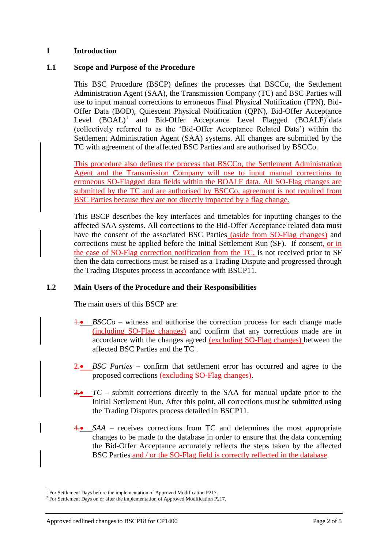### **1 Introduction**

### **1.1 Scope and Purpose of the Procedure**

This BSC Procedure (BSCP) defines the processes that BSCCo, the Settlement Administration Agent (SAA), the Transmission Company (TC) and BSC Parties will use to input manual corrections to erroneous Final Physical Notification (FPN), Bid-Offer Data (BOD), Quiescent Physical Notification (QPN), Bid-Offer Acceptance Level  $(BOAL)^1$  and Bid-Offer Acceptance Level Flagged  $(BOALF)^2$ data (collectively referred to as the 'Bid-Offer Acceptance Related Data') within the Settlement Administration Agent (SAA) systems. All changes are submitted by the TC with agreement of the affected BSC Parties and are authorised by BSCCo.

This procedure also defines the process that BSCCo, the Settlement Administration Agent and the Transmission Company will use to input manual corrections to erroneous SO-Flagged data fields within the BOALF data. All SO-Flag changes are submitted by the TC and are authorised by BSCCo, agreement is not required from BSC Parties because they are not directly impacted by a flag change.

This BSCP describes the key interfaces and timetables for inputting changes to the affected SAA systems. All corrections to the Bid-Offer Acceptance related data must have the consent of the associated BSC Parties (aside from SO-Flag changes) and corrections must be applied before the Initial Settlement Run (SF). If consent, or in the case of SO-Flag correction notification from the TC, is not received prior to SF then the data corrections must be raised as a Trading Dispute and progressed through the Trading Disputes process in accordance with BSCP11.

## **1.2 Main Users of the Procedure and their Responsibilities**

The main users of this BSCP are:

- 1. *BSCCo* witness and authorise the correction process for each change made (including SO-Flag changes) and confirm that any corrections made are in accordance with the changes agreed (excluding SO-Flag changes) between the affected BSC Parties and the TC .
- 2. **BSC** Parties confirm that settlement error has occurred and agree to the proposed corrections (excluding SO-Flag changes).
- 3. *TC –* submit corrections directly to the SAA for manual update prior to the Initial Settlement Run. After this point, all corrections must be submitted using the Trading Disputes process detailed in BSCP11.
- 4. *SAA* receives corrections from TC and determines the most appropriate changes to be made to the database in order to ensure that the data concerning the Bid-Offer Acceptance accurately reflects the steps taken by the affected BSC Parties and / or the SO-Flag field is correctly reflected in the database.

 $\overline{a}$ 

<sup>&</sup>lt;sup>1</sup> For Settlement Days before the implementation of Approved Modification P217.

 $2^2$  For Settlement Days on or after the implementation of Approved Modification P217.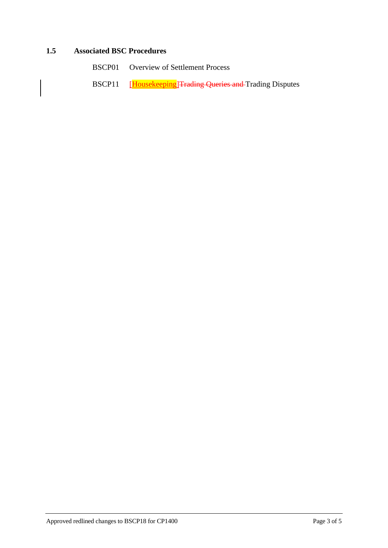## **1.5 Associated BSC Procedures**

- BSCP01 Overview of Settlement Process
- BSCP11 [Housekeeping]Trading Queries and Trading Disputes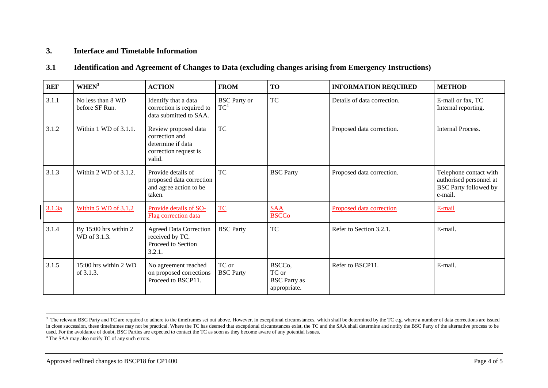## **3. Interface and Timetable Information**

#### **3.1 Identification and Agreement of Changes to Data (excluding changes arising from Emergency Instructions)**

| <b>REF</b> | WHEN <sup>3</sup>                     | <b>ACTION</b>                                                                                  | <b>FROM</b>                   | <b>TO</b>                                                           | <b>INFORMATION REQUIRED</b> | <b>METHOD</b>                                                                                |
|------------|---------------------------------------|------------------------------------------------------------------------------------------------|-------------------------------|---------------------------------------------------------------------|-----------------------------|----------------------------------------------------------------------------------------------|
| 3.1.1      | No less than 8 WD<br>before SF Run.   | Identify that a data<br>correction is required to<br>data submitted to SAA.                    | <b>BSC</b> Party or<br>$TC^4$ | <b>TC</b>                                                           | Details of data correction. | E-mail or fax, TC<br>Internal reporting.                                                     |
| 3.1.2      | Within 1 WD of 3.1.1.                 | Review proposed data<br>correction and<br>determine if data<br>correction request is<br>valid. | TC                            |                                                                     | Proposed data correction.   | Internal Process.                                                                            |
| 3.1.3      | Within $2$ WD of $3.1.2$ .            | Provide details of<br>proposed data correction<br>and agree action to be<br>taken.             | <b>TC</b>                     | <b>BSC</b> Party                                                    | Proposed data correction.   | Telephone contact with<br>authorised personnel at<br><b>BSC Party followed by</b><br>e-mail. |
| 3.1.3a     | Within $5 \text{ WD of } 3.1.2$       | Provide details of SO-<br>Flag correction data                                                 | <b>TC</b>                     | <b>SAA</b><br><b>BSCCo</b>                                          | Proposed data correction    | E-mail                                                                                       |
| 3.1.4      | By 15:00 hrs within 2<br>WD of 3.1.3. | <b>Agreed Data Correction</b><br>received by TC.<br>Proceed to Section<br>3.2.1.               | <b>BSC</b> Party              | <b>TC</b>                                                           | Refer to Section 3.2.1.     | E-mail.                                                                                      |
| 3.1.5      | 15:00 hrs within 2 WD<br>of 3.1.3.    | No agreement reached<br>on proposed corrections<br>Proceed to BSCP11.                          | TC or<br><b>BSC</b> Party     | BSCC <sub>o</sub> ,<br>TC or<br><b>BSC</b> Party as<br>appropriate. | Refer to BSCP11.            | E-mail.                                                                                      |

1

<sup>&</sup>lt;sup>3</sup> The relevant BSC Party and TC are required to adhere to the timeframes set out above. However, in exceptional circumstances, which shall be determined by the TC e.g. where a number of data corrections are issued in close succession, these timeframes may not be practical. Where the TC has deemed that exceptional circumstances exist, the TC and the SAA shall determine and notify the BSC Party of the alternative process to be used. For the avoidance of doubt, BSC Parties are expected to contact the TC as soon as they become aware of any potential issues.

<sup>4</sup> The SAA may also notify TC of any such errors.